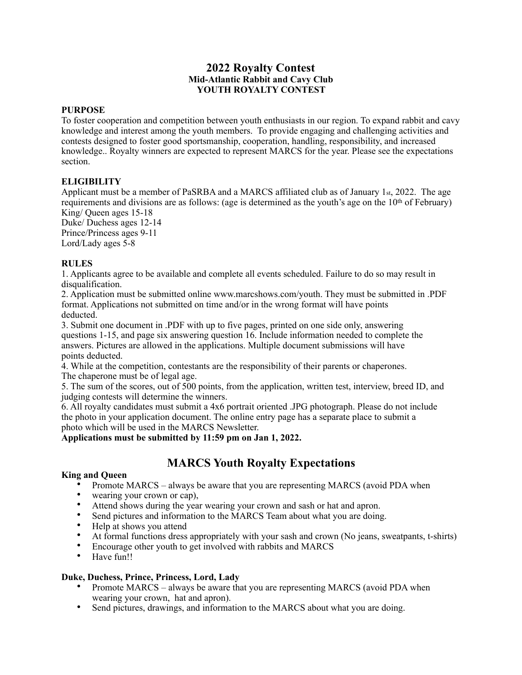# **2022 Royalty Contest Mid-Atlantic Rabbit and Cavy Club YOUTH ROYALTY CONTEST**

#### **PURPOSE**

To foster cooperation and competition between youth enthusiasts in our region. To expand rabbit and cavy knowledge and interest among the youth members. To provide engaging and challenging activities and contests designed to foster good sportsmanship, cooperation, handling, responsibility, and increased knowledge.. Royalty winners are expected to represent MARCS for the year. Please see the expectations section.

### **ELIGIBILITY**

Applicant must be a member of PaSRBA and a MARCS affiliated club as of January 1st, 2022. The age requirements and divisions are as follows: (age is determined as the youth's age on the 10th of February) King/ Queen ages 15-18

Duke/ Duchess ages 12-14 Prince/Princess ages 9-11 Lord/Lady ages 5-8

#### **RULES**

1. Applicants agree to be available and complete all events scheduled. Failure to do so may result in disqualification.

2. Application must be submitted online www.marcshows.com/youth. They must be submitted in .PDF format. Applications not submitted on time and/or in the wrong format will have points deducted.

3. Submit one document in .PDF with up to five pages, printed on one side only, answering questions 1-15, and page six answering question 16. Include information needed to complete the answers. Pictures are allowed in the applications. Multiple document submissions will have points deducted.

4. While at the competition, contestants are the responsibility of their parents or chaperones. The chaperone must be of legal age.

5. The sum of the scores, out of 500 points, from the application, written test, interview, breed ID, and judging contests will determine the winners.

6. All royalty candidates must submit a 4x6 portrait oriented .JPG photograph. Please do not include the photo in your application document. The online entry page has a separate place to submit a photo which will be used in the MARCS Newsletter.

### **Applications must be submitted by 11:59 pm on Jan 1, 2022.**

# **MARCS Youth Royalty Expectations**

### **King and Queen**

- Promote MARCS always be aware that you are representing MARCS (avoid PDA when
- wearing your crown or cap),
- Attend shows during the year wearing your crown and sash or hat and apron.
- Send pictures and information to the MARCS Team about what you are doing.
- Help at shows you attend
- At formal functions dress appropriately with your sash and crown (No jeans, sweatpants, t-shirts)
- Encourage other youth to get involved with rabbits and MARCS
- Have fun!!

### **Duke, Duchess, Prince, Princess, Lord, Lady**

- Promote MARCS always be aware that you are representing MARCS (avoid PDA when wearing your crown, hat and apron).
- Send pictures, drawings, and information to the MARCS about what you are doing.